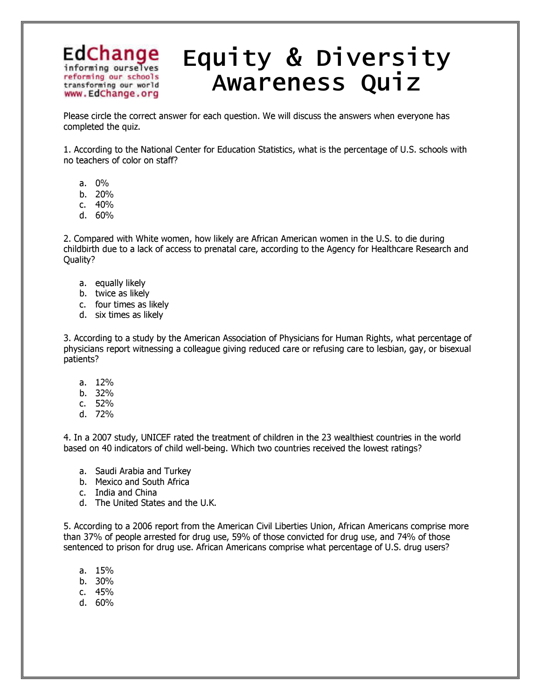## EdChange informing ourselves reforming our schools transforming our world www.EdChange.org

## Equity & Diversity Awareness Quiz

Please circle the correct answer for each question. We will discuss the answers when everyone has completed the quiz.

1. According to the National Center for Education Statistics, what is the percentage of U.S. schools with no teachers of color on staff?

- a. 0%
- b. 20%
- c. 40%
- d. 60%

2. Compared with White women, how likely are African American women in the U.S. to die during childbirth due to a lack of access to prenatal care, according to the Agency for Healthcare Research and Quality?

- a. equally likely
- b. twice as likely
- c. four times as likely
- d. six times as likely

3. According to a study by the American Association of Physicians for Human Rights, what percentage of physicians report witnessing a colleague giving reduced care or refusing care to lesbian, gay, or bisexual patients?

- a. 12%
- b. 32%
- c. 52%
- d. 72%

4. In a 2007 study, UNICEF rated the treatment of children in the 23 wealthiest countries in the world based on 40 indicators of child well-being. Which two countries received the lowest ratings?

- a. Saudi Arabia and Turkey
- b. Mexico and South Africa
- c. India and China
- d. The United States and the U.K.

5. According to a 2006 report from the American Civil Liberties Union, African Americans comprise more than 37% of people arrested for drug use, 59% of those convicted for drug use, and 74% of those sentenced to prison for drug use. African Americans comprise what percentage of U.S. drug users?

- a. 15%
- b. 30%
- c. 45%
- d. 60%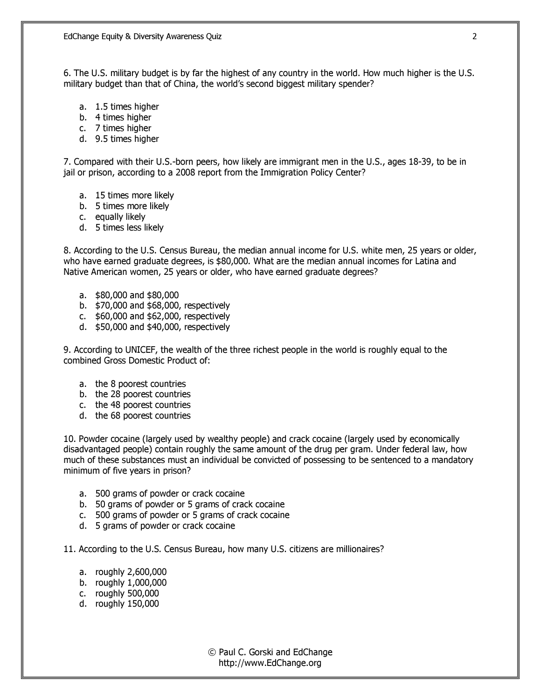6. The U.S. military budget is by far the highest of any country in the world. How much higher is the U.S. military budget than that of China, the world's second biggest military spender?

- a. 1.5 times higher
- b. 4 times higher
- c. 7 times higher
- d. 9.5 times higher

7. Compared with their U.S.-born peers, how likely are immigrant men in the U.S., ages 18-39, to be in jail or prison, according to a 2008 report from the Immigration Policy Center?

- a. 15 times more likely
- b. 5 times more likely
- c. equally likely
- d. 5 times less likely

8. According to the U.S. Census Bureau, the median annual income for U.S. white men, 25 years or older, who have earned graduate degrees, is \$80,000. What are the median annual incomes for Latina and Native American women, 25 years or older, who have earned graduate degrees?

- a. \$80,000 and \$80,000
- b. \$70,000 and \$68,000, respectively
- c. \$60,000 and \$62,000, respectively
- d. \$50,000 and \$40,000, respectively

9. According to UNICEF, the wealth of the three richest people in the world is roughly equal to the combined Gross Domestic Product of:

- a. the 8 poorest countries
- b. the 28 poorest countries
- c. the 48 poorest countries
- d. the 68 poorest countries

10. Powder cocaine (largely used by wealthy people) and crack cocaine (largely used by economically disadvantaged people) contain roughly the same amount of the drug per gram. Under federal law, how much of these substances must an individual be convicted of possessing to be sentenced to a mandatory minimum of five years in prison?

- a. 500 grams of powder or crack cocaine
- b. 50 grams of powder or 5 grams of crack cocaine
- c. 500 grams of powder or 5 grams of crack cocaine
- d. 5 grams of powder or crack cocaine

11. According to the U.S. Census Bureau, how many U.S. citizens are millionaires?

- a. roughly 2,600,000
- b. roughly 1,000,000
- c. roughly 500,000
- d. roughly 150,000

2

© Paul C. Gorski and EdChange http://www.EdChange.org